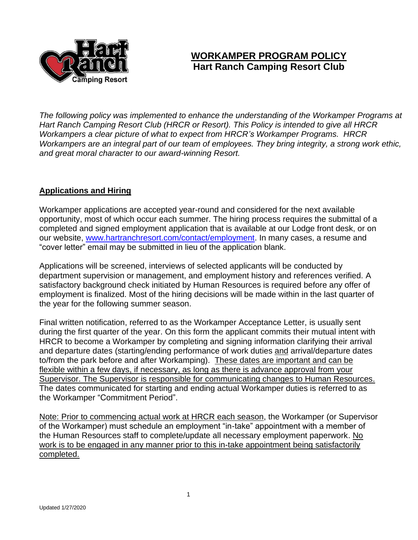

# **WORKAMPER PROGRAM POLICY Hart Ranch Camping Resort Club**

*The following policy was implemented to enhance the understanding of the Workamper Programs at Hart Ranch Camping Resort Club (HRCR or Resort). This Policy is intended to give all HRCR Workampers a clear picture of what to expect from HRCR's Workamper Programs. HRCR Workampers are an integral part of our team of employees. They bring integrity, a strong work ethic, and great moral character to our award-winning Resort.*

## **Applications and Hiring**

Workamper applications are accepted year-round and considered for the next available opportunity, most of which occur each summer. The hiring process requires the submittal of a completed and signed employment application that is available at our Lodge front desk, or on our website, [www.hartranchresort.com/contact/employment.](http://www.hartranchresort.com/contact/employment) In many cases, a resume and "cover letter" email may be submitted in lieu of the application blank.

Applications will be screened, interviews of selected applicants will be conducted by department supervision or management, and employment history and references verified. A satisfactory background check initiated by Human Resources is required before any offer of employment is finalized. Most of the hiring decisions will be made within in the last quarter of the year for the following summer season.

Final written notification, referred to as the Workamper Acceptance Letter, is usually sent during the first quarter of the year. On this form the applicant commits their mutual intent with HRCR to become a Workamper by completing and signing information clarifying their arrival and departure dates (starting/ending performance of work duties and arrival/departure dates to/from the park before and after Workamping). These dates are important and can be flexible within a few days, if necessary, as long as there is advance approval from your Supervisor. The Supervisor is responsible for communicating changes to Human Resources. The dates communicated for starting and ending actual Workamper duties is referred to as the Workamper "Commitment Period".

Note: Prior to commencing actual work at HRCR each season, the Workamper (or Supervisor of the Workamper) must schedule an employment "in-take" appointment with a member of the Human Resources staff to complete/update all necessary employment paperwork. No work is to be engaged in any manner prior to this in-take appointment being satisfactorily completed.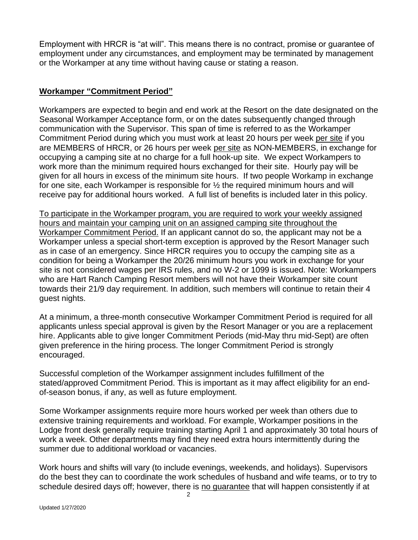Employment with HRCR is "at will". This means there is no contract, promise or guarantee of employment under any circumstances, and employment may be terminated by management or the Workamper at any time without having cause or stating a reason.

## **Workamper "Commitment Period"**

Workampers are expected to begin and end work at the Resort on the date designated on the Seasonal Workamper Acceptance form, or on the dates subsequently changed through communication with the Supervisor. This span of time is referred to as the Workamper Commitment Period during which you must work at least 20 hours per week per site if you are MEMBERS of HRCR, or 26 hours per week per site as NON-MEMBERS, in exchange for occupying a camping site at no charge for a full hook-up site. We expect Workampers to work more than the minimum required hours exchanged for their site. Hourly pay will be given for all hours in excess of the minimum site hours. If two people Workamp in exchange for one site, each Workamper is responsible for ½ the required minimum hours and will receive pay for additional hours worked. A full list of benefits is included later in this policy.

To participate in the Workamper program, you are required to work your weekly assigned hours and maintain your camping unit on an assigned camping site throughout the Workamper Commitment Period. If an applicant cannot do so, the applicant may not be a Workamper unless a special short-term exception is approved by the Resort Manager such as in case of an emergency. Since HRCR requires you to occupy the camping site as a condition for being a Workamper the 20/26 minimum hours you work in exchange for your site is not considered wages per IRS rules, and no W-2 or 1099 is issued. Note: Workampers who are Hart Ranch Camping Resort members will not have their Workamper site count towards their 21/9 day requirement. In addition, such members will continue to retain their 4 guest nights.

At a minimum, a three-month consecutive Workamper Commitment Period is required for all applicants unless special approval is given by the Resort Manager or you are a replacement hire. Applicants able to give longer Commitment Periods (mid-May thru mid-Sept) are often given preference in the hiring process. The longer Commitment Period is strongly encouraged.

Successful completion of the Workamper assignment includes fulfillment of the stated/approved Commitment Period. This is important as it may affect eligibility for an endof-season bonus, if any, as well as future employment.

Some Workamper assignments require more hours worked per week than others due to extensive training requirements and workload. For example, Workamper positions in the Lodge front desk generally require training starting April 1 and approximately 30 total hours of work a week. Other departments may find they need extra hours intermittently during the summer due to additional workload or vacancies.

Work hours and shifts will vary (to include evenings, weekends, and holidays). Supervisors do the best they can to coordinate the work schedules of husband and wife teams, or to try to schedule desired days off; however, there is no guarantee that will happen consistently if at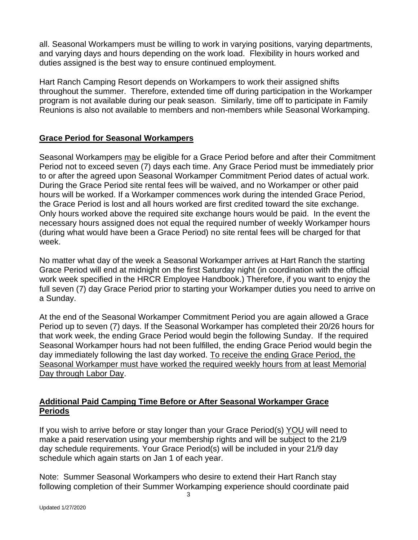all. Seasonal Workampers must be willing to work in varying positions, varying departments, and varying days and hours depending on the work load. Flexibility in hours worked and duties assigned is the best way to ensure continued employment.

Hart Ranch Camping Resort depends on Workampers to work their assigned shifts throughout the summer. Therefore, extended time off during participation in the Workamper program is not available during our peak season. Similarly, time off to participate in Family Reunions is also not available to members and non-members while Seasonal Workamping.

## **Grace Period for Seasonal Workampers**

Seasonal Workampers may be eligible for a Grace Period before and after their Commitment Period not to exceed seven (7) days each time. Any Grace Period must be immediately prior to or after the agreed upon Seasonal Workamper Commitment Period dates of actual work. During the Grace Period site rental fees will be waived, and no Workamper or other paid hours will be worked. If a Workamper commences work during the intended Grace Period, the Grace Period is lost and all hours worked are first credited toward the site exchange. Only hours worked above the required site exchange hours would be paid. In the event the necessary hours assigned does not equal the required number of weekly Workamper hours (during what would have been a Grace Period) no site rental fees will be charged for that week.

No matter what day of the week a Seasonal Workamper arrives at Hart Ranch the starting Grace Period will end at midnight on the first Saturday night (in coordination with the official work week specified in the HRCR Employee Handbook.) Therefore, if you want to enjoy the full seven (7) day Grace Period prior to starting your Workamper duties you need to arrive on a Sunday.

At the end of the Seasonal Workamper Commitment Period you are again allowed a Grace Period up to seven (7) days. If the Seasonal Workamper has completed their 20/26 hours for that work week, the ending Grace Period would begin the following Sunday. If the required Seasonal Workamper hours had not been fulfilled, the ending Grace Period would begin the day immediately following the last day worked. To receive the ending Grace Period, the Seasonal Workamper must have worked the required weekly hours from at least Memorial Day through Labor Day.

## **Additional Paid Camping Time Before or After Seasonal Workamper Grace Periods**

If you wish to arrive before or stay longer than your Grace Period(s) YOU will need to make a paid reservation using your membership rights and will be subject to the 21/9 day schedule requirements. Your Grace Period(s) will be included in your 21/9 day schedule which again starts on Jan 1 of each year.

Note: Summer Seasonal Workampers who desire to extend their Hart Ranch stay following completion of their Summer Workamping experience should coordinate paid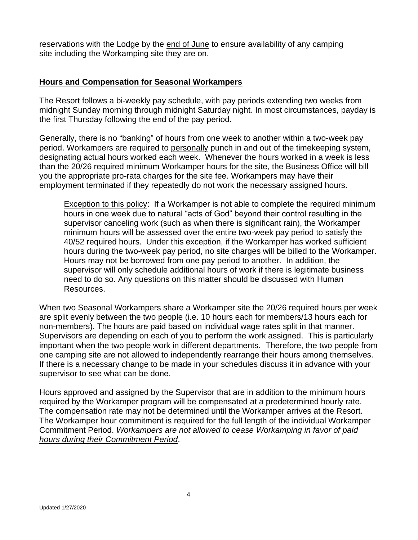reservations with the Lodge by the end of June to ensure availability of any camping site including the Workamping site they are on.

#### **Hours and Compensation for Seasonal Workampers**

The Resort follows a bi-weekly pay schedule, with pay periods extending two weeks from midnight Sunday morning through midnight Saturday night. In most circumstances, payday is the first Thursday following the end of the pay period.

Generally, there is no "banking" of hours from one week to another within a two-week pay period. Workampers are required to personally punch in and out of the timekeeping system, designating actual hours worked each week. Whenever the hours worked in a week is less than the 20/26 required minimum Workamper hours for the site, the Business Office will bill you the appropriate pro-rata charges for the site fee. Workampers may have their employment terminated if they repeatedly do not work the necessary assigned hours.

Exception to this policy: If a Workamper is not able to complete the required minimum hours in one week due to natural "acts of God" beyond their control resulting in the supervisor canceling work (such as when there is significant rain), the Workamper minimum hours will be assessed over the entire two-week pay period to satisfy the 40/52 required hours. Under this exception, if the Workamper has worked sufficient hours during the two-week pay period, no site charges will be billed to the Workamper. Hours may not be borrowed from one pay period to another. In addition, the supervisor will only schedule additional hours of work if there is legitimate business need to do so. Any questions on this matter should be discussed with Human Resources.

When two Seasonal Workampers share a Workamper site the 20/26 required hours per week are split evenly between the two people (i.e. 10 hours each for members/13 hours each for non-members). The hours are paid based on individual wage rates split in that manner. Supervisors are depending on each of you to perform the work assigned. This is particularly important when the two people work in different departments. Therefore, the two people from one camping site are not allowed to independently rearrange their hours among themselves. If there is a necessary change to be made in your schedules discuss it in advance with your supervisor to see what can be done.

Hours approved and assigned by the Supervisor that are in addition to the minimum hours required by the Workamper program will be compensated at a predetermined hourly rate. The compensation rate may not be determined until the Workamper arrives at the Resort. The Workamper hour commitment is required for the full length of the individual Workamper Commitment Period. *Workampers are not allowed to cease Workamping in favor of paid hours during their Commitment Period*.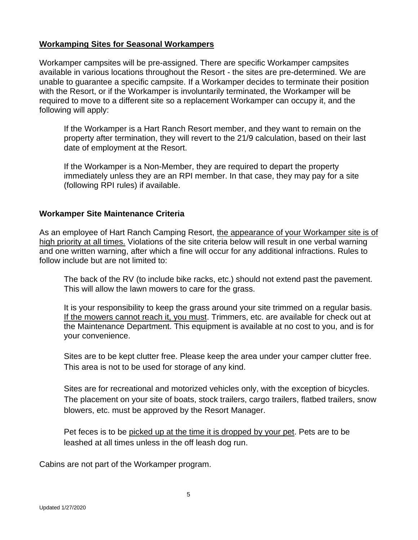#### **Workamping Sites for Seasonal Workampers**

Workamper campsites will be pre-assigned. There are specific Workamper campsites available in various locations throughout the Resort - the sites are pre-determined. We are unable to guarantee a specific campsite. If a Workamper decides to terminate their position with the Resort, or if the Workamper is involuntarily terminated, the Workamper will be required to move to a different site so a replacement Workamper can occupy it, and the following will apply:

If the Workamper is a Hart Ranch Resort member, and they want to remain on the property after termination, they will revert to the 21/9 calculation, based on their last date of employment at the Resort.

If the Workamper is a Non-Member, they are required to depart the property immediately unless they are an RPI member. In that case, they may pay for a site (following RPI rules) if available.

## **Workamper Site Maintenance Criteria**

As an employee of Hart Ranch Camping Resort, the appearance of your Workamper site is of high priority at all times. Violations of the site criteria below will result in one verbal warning and one written warning, after which a fine will occur for any additional infractions. Rules to follow include but are not limited to:

The back of the RV (to include bike racks, etc.) should not extend past the pavement. This will allow the lawn mowers to care for the grass.

It is your responsibility to keep the grass around your site trimmed on a regular basis. If the mowers cannot reach it, you must. Trimmers, etc. are available for check out at the Maintenance Department. This equipment is available at no cost to you, and is for your convenience.

Sites are to be kept clutter free. Please keep the area under your camper clutter free. This area is not to be used for storage of any kind.

Sites are for recreational and motorized vehicles only, with the exception of bicycles. The placement on your site of boats, stock trailers, cargo trailers, flatbed trailers, snow blowers, etc. must be approved by the Resort Manager.

Pet feces is to be picked up at the time it is dropped by your pet. Pets are to be leashed at all times unless in the off leash dog run.

Cabins are not part of the Workamper program.